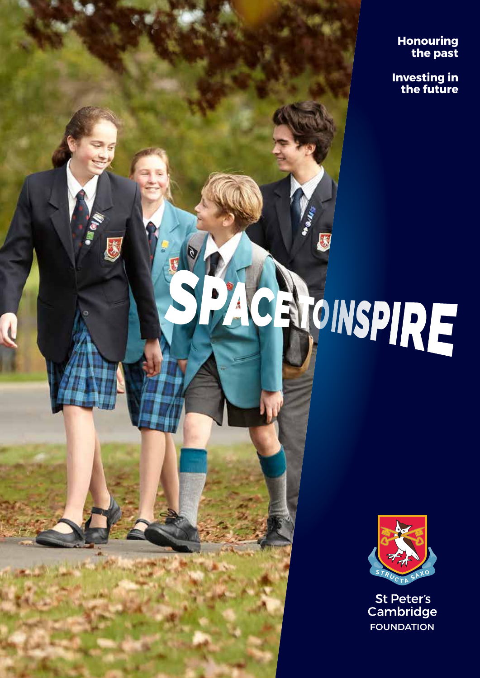**Honouring the past** 

**Investing in the future**

# CROINSPIRE

**1** |SPACE TO INSPIRE

贪



St Peter's Cambridge **FOUNDATION**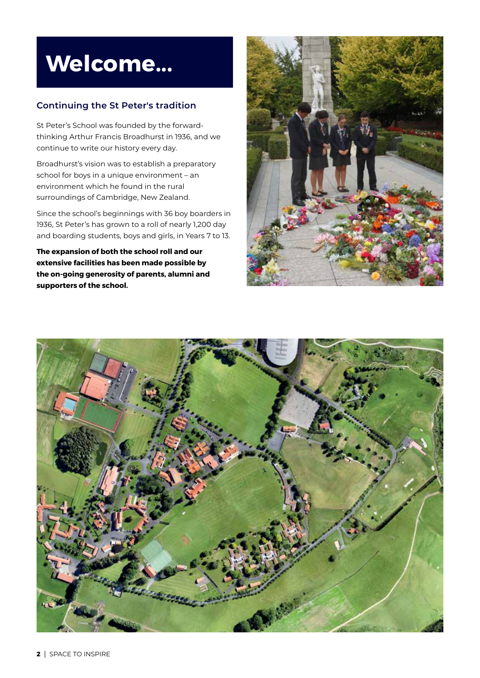## **Welcome...**

## **Continuing the St Peter's tradition**

St Peter's School was founded by the forwardthinking Arthur Francis Broadhurst in 1936, and we continue to write our history every day.

Broadhurst's vision was to establish a preparatory school for boys in a unique environment – an environment which he found in the rural surroundings of Cambridge, New Zealand.

Since the school's beginnings with 36 boy boarders in 1936, St Peter's has grown to a roll of nearly 1,200 day and boarding students, boys and girls, in Years 7 to 13.

**The expansion of both the school roll and our extensive facilities has been made possible by the on-going generosity of parents, alumni and supporters of the school.** 



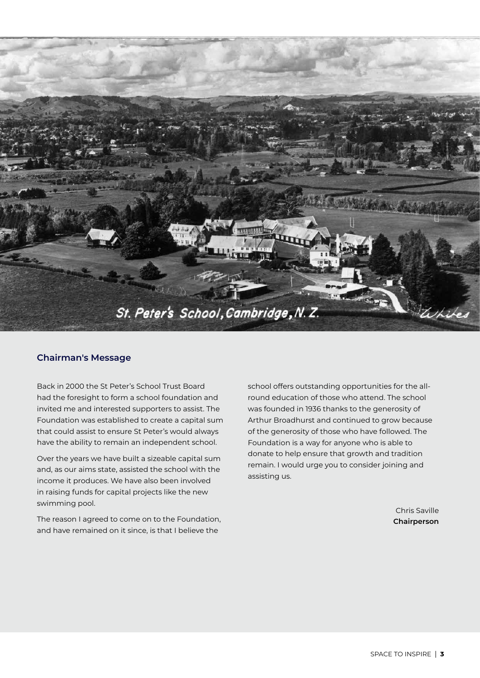

#### **Chairman's Message**

Back in 2000 the St Peter's School Trust Board had the foresight to form a school foundation and invited me and interested supporters to assist. The Foundation was established to create a capital sum that could assist to ensure St Peter's would always have the ability to remain an independent school.

Over the years we have built a sizeable capital sum and, as our aims state, assisted the school with the income it produces. We have also been involved in raising funds for capital projects like the new swimming pool.

The reason I agreed to come on to the Foundation, and have remained on it since, is that I believe the

school offers outstanding opportunities for the allround education of those who attend. The school was founded in 1936 thanks to the generosity of Arthur Broadhurst and continued to grow because of the generosity of those who have followed. The Foundation is a way for anyone who is able to donate to help ensure that growth and tradition remain. I would urge you to consider joining and assisting us.

> Chris Saville **Chairperson**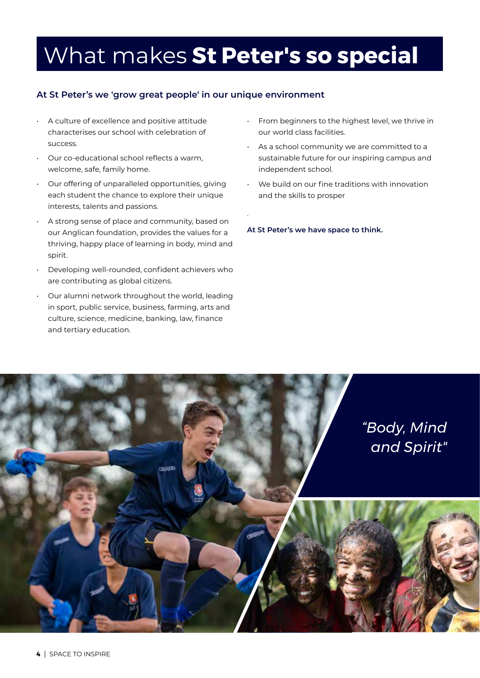## What makes **St Peter's so special**

.

## **At St Peter's we 'grow great people' in our unique environment**

- A culture of excellence and positive attitude characterises our school with celebration of success.
- Our co-educational school reflects a warm, welcome, safe, family home.
- Our offering of unparalleled opportunities, giving each student the chance to explore their unique interests, talents and passions.
- A strong sense of place and community, based on our Anglican foundation, provides the values for a thriving, happy place of learning in body, mind and spirit.
- Developing well-rounded, confident achievers who are contributing as global citizens.
- Our alumni network throughout the world, leading in sport, public service, business, farming, arts and culture, science, medicine, banking, law, finance and tertiary education.
- From beginners to the highest level, we thrive in our world class facilities.
- As a school community we are committed to a sustainable future for our inspiring campus and independent school.
- We build on our fine traditions with innovation and the skills to prosper

**At St Peter's we have space to think.**

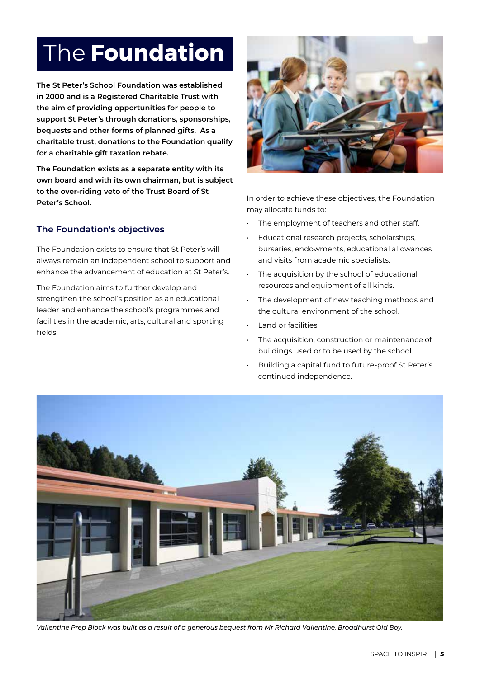# The **Foundation**

**The St Peter's School Foundation was established in 2000 and is a Registered Charitable Trust with the aim of providing opportunities for people to support St Peter's through donations, sponsorships, bequests and other forms of planned gifts. As a charitable trust, donations to the Foundation qualify for a charitable gift taxation rebate.**

**The Foundation exists as a separate entity with its own board and with its own chairman, but is subject to the over-riding veto of the Trust Board of St Peter's School.**

## **The Foundation's objectives**

The Foundation exists to ensure that St Peter's will always remain an independent school to support and enhance the advancement of education at St Peter's.

The Foundation aims to further develop and strengthen the school's position as an educational leader and enhance the school's programmes and facilities in the academic, arts, cultural and sporting fields.



In order to achieve these objectives, the Foundation may allocate funds to:

- The employment of teachers and other staff.
- Educational research projects, scholarships, bursaries, endowments, educational allowances and visits from academic specialists.
- The acquisition by the school of educational resources and equipment of all kinds.
- The development of new teaching methods and the cultural environment of the school.
- Land or facilities.
- The acquisition, construction or maintenance of buildings used or to be used by the school.
- Building a capital fund to future-proof St Peter's continued independence.



*Vallentine Prep Block was built as a result of a generous bequest from Mr Richard Vallentine, Broadhurst Old Boy.*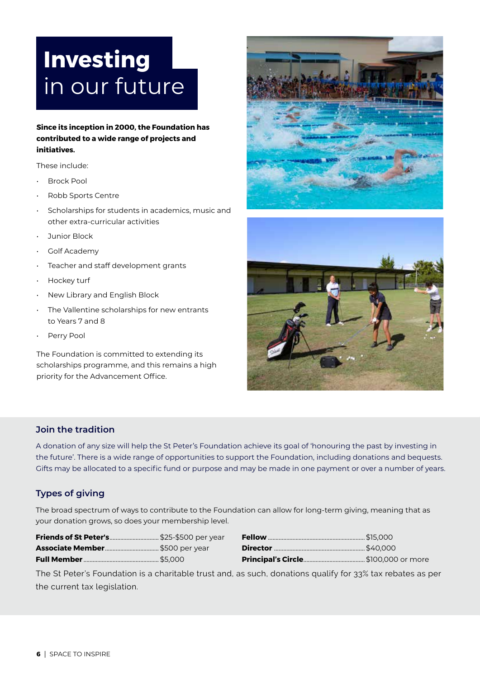# **Investing** in our future

### **Since its inception in 2000, the Foundation has contributed to a wide range of projects and initiatives.**

These include:

- Brock Pool
- Robb Sports Centre
- Scholarships for students in academics, music and other extra-curricular activities
- Junior Block
- Golf Academy
- Teacher and staff development grants
- Hockey turf
- New Library and English Block
- The Vallentine scholarships for new entrants to Years 7 and 8
- Perry Pool

The Foundation is committed to extending its scholarships programme, and this remains a high priority for the Advancement Office.





## **Join the tradition**

A donation of any size will help the St Peter's Foundation achieve its goal of 'honouring the past by investing in the future'. There is a wide range of opportunities to support the Foundation, including donations and bequests. Gifts may be allocated to a specific fund or purpose and may be made in one payment or over a number of years.

## **Types of giving**

The broad spectrum of ways to contribute to the Foundation can allow for long-term giving, meaning that as your donation grows, so does your membership level.

| Friends of St Peter's \$25-\$500 per year |  |
|-------------------------------------------|--|
|                                           |  |
|                                           |  |

The St Peter's Foundation is a charitable trust and, as such, donations qualify for 33% tax rebates as per the current tax legislation.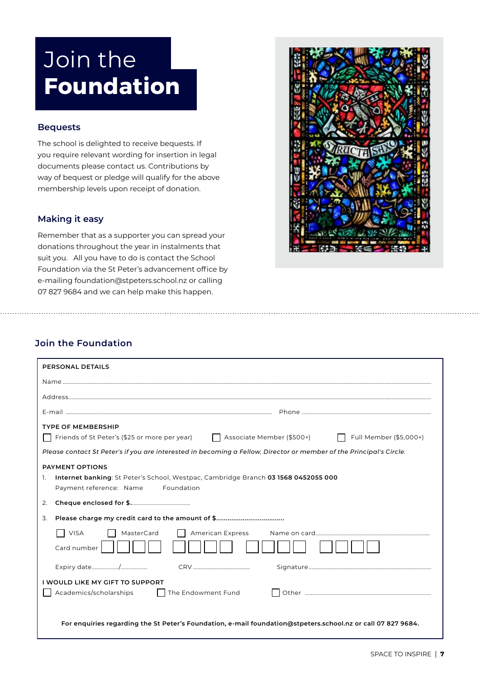# Join the **Foundation**

## **Bequests**

The school is delighted to receive bequests. If you require relevant wording for insertion in legal documents please contact us. Contributions by way of bequest or pledge will qualify for the above membership levels upon receipt of donation.

## **Making it easy**

Remember that as a supporter you can spread your donations throughout the year in instalments that suit you. All you have to do is contact the School Foundation via the St Peter's advancement office by e-mailing foundation@stpeters.school.nz or calling 07 827 9684 and we can help make this happen.



## **Join the Foundation**

| <b>PERSONAL DETAILS</b>                                                                                                                                                                                                                                        |  |  |
|----------------------------------------------------------------------------------------------------------------------------------------------------------------------------------------------------------------------------------------------------------------|--|--|
|                                                                                                                                                                                                                                                                |  |  |
|                                                                                                                                                                                                                                                                |  |  |
|                                                                                                                                                                                                                                                                |  |  |
| <b>TYPE OF MEMBERSHIP</b><br>Friends of St Peter's (\$25 or more per year) $\Box$ Associate Member (\$500+)<br>  Full Member (\$5,000+)<br>Please contact St Peter's if you are interested in becoming a Fellow, Director or member of the Principal's Circle. |  |  |
| <b>PAYMENT OPTIONS</b><br>Internet banking: St Peter's School, Westpac, Cambridge Branch 03 1568 0452055 000<br>1.<br>Payment reference: Name<br>Foundation                                                                                                    |  |  |
| 2.                                                                                                                                                                                                                                                             |  |  |
| 3.                                                                                                                                                                                                                                                             |  |  |
| $\Box$ VISA<br>MasterCard<br><b>American Express</b><br>Card number                                                                                                                                                                                            |  |  |
|                                                                                                                                                                                                                                                                |  |  |
| <b>I WOULD LIKE MY GIFT TO SUPPORT</b><br>Academics/scholarships<br>  The Endowment Fund                                                                                                                                                                       |  |  |
| For enquiries regarding the St Peter's Foundation, e-mail foundation@stpeters.school.nz or call 07 827 9684.                                                                                                                                                   |  |  |